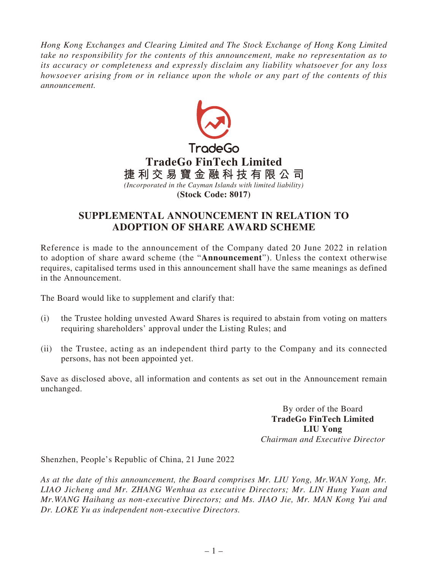*Hong Kong Exchanges and Clearing Limited and The Stock Exchange of Hong Kong Limited take no responsibility for the contents of this announcement, make no representation as to its accuracy or completeness and expressly disclaim any liability whatsoever for any loss howsoever arising from or in reliance upon the whole or any part of the contents of this announcement.*



## **SUPPLEMENTAL ANNOUNCEMENT IN RELATION TO ADOPTION OF SHARE AWARD SCHEME**

Reference is made to the announcement of the Company dated 20 June 2022 in relation to adoption of share award scheme (the "**Announcement**"). Unless the context otherwise requires, capitalised terms used in this announcement shall have the same meanings as defined in the Announcement.

The Board would like to supplement and clarify that:

- (i) the Trustee holding unvested Award Shares is required to abstain from voting on matters requiring shareholders' approval under the Listing Rules; and
- (ii) the Trustee, acting as an independent third party to the Company and its connected persons, has not been appointed yet.

Save as disclosed above, all information and contents as set out in the Announcement remain unchanged.

> By order of the Board **TradeGo FinTech Limited LIU Yong** *Chairman and Executive Director*

Shenzhen, People's Republic of China, 21 June 2022

*As at the date of this announcement, the Board comprises Mr. LIU Yong, Mr.WAN Yong, Mr. LIAO Jicheng and Mr. ZHANG Wenhua as executive Directors; Mr. LIN Hung Yuan and Mr.WANG Haihang as non-executive Directors; and Ms. JIAO Jie, Mr. MAN Kong Yui and Dr. LOKE Yu as independent non-executive Directors.*